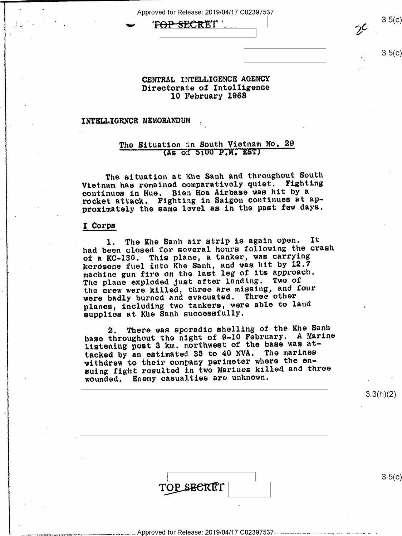Approved for Release: 2019/04/17 C02397537

 $\overline{C}$  -  $\overline{C}$   $\overline{C}$   $\overline{C}$   $\overline{C}$   $\overline{C}$   $\overline{C}$   $\overline{C}$   $\overline{C}$   $\overline{C}$   $\overline{C}$   $\overline{C}$   $\overline{C}$   $\overline{C}$   $\overline{C}$   $\overline{C}$   $\overline{C}$   $\overline{C}$   $\overline{C}$   $\overline{C}$   $\overline{C}$   $\overline{C}$   $\overline{C}$   $\overline{C}$   $\over$ \ \ 2/'

 $3.5(c)$ 

# CENTRAL INTELLIGENCE AGENCY Directorate of Intelligence 10 February 1968

# INTELLIGENCE MEMORANDUM

# The Situation in South Vietnam No. 29 (As of 5:00 P.M. EST)

The situation at Khe Sanh and throughout South Vietnam has remained comparatively quiet. Fighting continues in Hue. Bien Hoa Airbase was hit by a' rocket attack. Fighting in Saigon continues at approximately the same level as in the past few days.

#### I Corps

, .

1. The Khe Sanh air strip is again open. It had been closed for several hours following the crash of a KC-130. This plane, a tanker, was carrying kerosene fuel into Khe Sanh, and was hit by 12.7 machine gun fire on the last leg of its approach. The plane exploded just after landing. Two of the crew were killed, three are missing, and four were badly burned and evacuated. Three other planes, including two tankers, were able to land supplies at Khe Sanh successfully.

2. There was sporadic shelling of the Khe Sanh base throughout the night of 9-10 February. A Marine listening post 3 km. northwest of the base was at tacked by an estimated 35 to 40 NVA. The marines withdrew to their company perimeter where the ensuing fight resulted in two Marines killed and three wounded. Enemy casualties are unknown.

Approved for Release: 2019/04/17 C02397537....

|            | 3.3(h)(2)        |
|------------|------------------|
|            | $\bullet$        |
|            |                  |
|            |                  |
| TOP SECRET | 3.5 <sub>0</sub> |
|            |                  |

3.3(h)(2)

 $\mathsf{c})$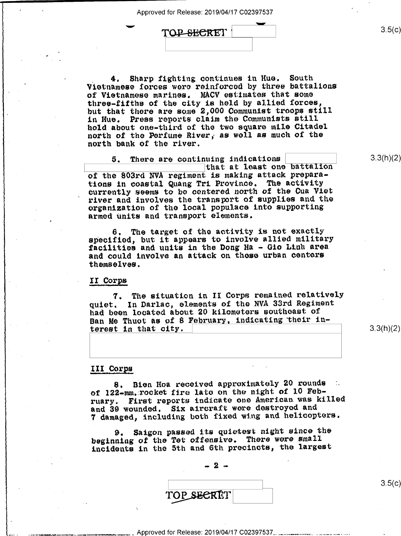' " Approved for Release: 2019/04/17 C02397537

TOP-SECRET

4. Sharp fighting continues in Hue. South \ Vietnamese iorces were reinforced by three battalions <sup>W</sup>of Vietnamese marines. MACV estimates that some three-fifths of the city is held by allied forces, but that there are some 2,000 Communist troops still in Hue. Press reports claim the Communists still hold about one-third of the two square mile Citadel north of the Perfume River; as well as much of the north bank of the river.

5. There are continuing indications uing indications<br>that at least one battalion<br>is making attack preparaof the 803rd NVA regiment is making attack preparations in coastal Quang Tri Province. The activity currently seems to be centered north of the Cua Viet river and involves the transport of supplies and the organization of the local populace into supporting armed units and transport elements.

 $\begin{bmatrix} 6 \\ 1 \end{bmatrix}$  Fine target of the activity is not exactly specified, but it appears to involve allied military facilities and units in the Dong Ha - Gio Linh area and could involve an attack on those urban centers » themselves.

# II Corps

. 7. The situation in II Corps remained relatively quiet. In Darlac, elements oi the NVA 33rd Regiment had been located about 20 kilometers southeast of Ban Me Thuot as of 8 February, indicating their interest in that city.

3.3(h)(2)

 $3.5(c)$ 

3.3(h)(2)

## III Corns '

8. Bien Hoa received approximately 20 rounds 3. of 122-mm. rocket fire lato on the night of 10 February. First reports indicate one American.was killed and 39 wounded. Six aircraft were destroyed and <sup>7</sup>damaged, including both fixed wing and helicopters.

beginning of the Tet offensive. There were small 9. Saigon passed its quietest night since the incidents in the 5th and 6th precincts, the largest

V .-2..

 $3.5(c)$ 

Approved for Release: 2019/04/17 C02397537..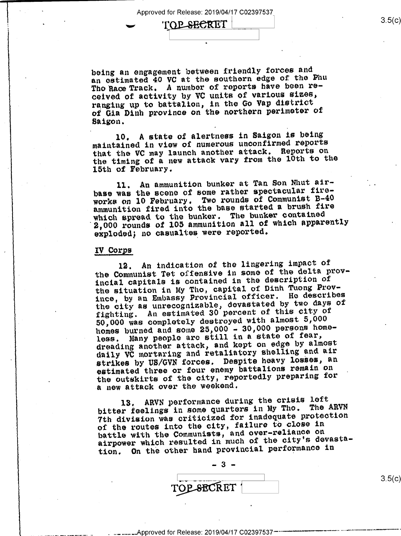Approved for Release: 2019/04/17 C02397537

TOP SECRET

being an engagement hetween friendly forces and an estimated 40 VC at the southern edge of the Phu Tho Race Track. A number of reports have been received of activity by VC units of various sizes, ranging up to battalion, in the Go Vap district of Gia Dinh province on the northern perimeter of Saigon.

10. A state of alertness in Saigon is being maintained in view oi numerous unconfirmed reports that the VC may launch another attack. Reports on the timing of a new attack vary from the 10th to the 15th of February.

ll. An ammunition bunker at Tan Son Nhut airbase was the scene of some rather spectacular fireworks on 10 February. Two rounds of Communist B-40 ammunition fired into the base started a brush fire which spread to the bunker. The bunker contained 2,000 rounds of 105 ammunition all of which apparently exploded; no casualtes were reported.

#### IV Corps

-

12. An indication of the lingering impact of the Communist Tet offensive in some of the delta provincial capitals is contained in the description of the situation in My Tho, capital of Dinh Tuong Province, by an Embassy Provincial officer. He describes the city as unrecognizable, devastated by two days of fighting. An estimated 30 percent of this city of 50,000 was completely destroyed with almost 5,000 homes burned and some 25,000 - 30,000 persons home-<br>less. Many people are still in a state of fear, Many people are still in a state of fear, dreading another attack, and kept on edge by almost daily VC mortaring and retaliatory shelling and air strikes by US/GVN forces. Despite heavy losses, an estimated three or four enemy battalions remain on the outskirts of the city, reportedly preparing for a new attack over the weekend.

13. ARVN performance during the crisis loft bitter feelings in some quarters in My Tho. The ARVN 7th division was criticized for inadequate protection of the routes into the city, failure to close in battle with the Communists, and over-reliance on airpower which resulted in much of the city's devastation. 0n the other hand provincial performance in



 $3.5(c)$ 

Approved for Release: 2019/04/17 C02397537<sup>---</sup>